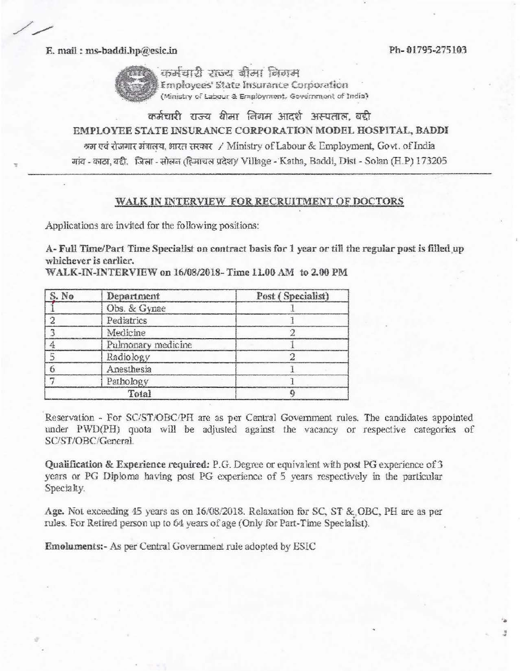Ph-01795-275103

E. mail: ms-baddi.hp@esic.in



कर्मचारी राज्य बीमा निगम

Employees' State Insurance Corporation (Ministry of Labour & Employment, Government of India)

## कर्मचारी राज्य बीमा लिगम आदर्श अस्पताल, बद्दी EMPLOYEE STATE INSURANCE CORPORATION MODEL HOSPITAL, BADDI श्रम एवं रोजगार मंत्रालय, भारत सरकार / Ministry of Labour & Employment, Govt. of India गांव - काठा, बद्दी, जिला - सोलन (हिमाचल प्रदेश)/ Village - Katha, Baddi, Dist - Solan (H.P) 173205

## WALK IN INTERVIEW FOR RECRUITMENT OF DOCTORS

Applications are invited for the following positions:

A- Full Time/Part Time Specialist on contract basis for 1 year or till the regular post is filled up whichever is earlier.

| S. No | Department         | Post (Specialist) |
|-------|--------------------|-------------------|
|       | Obs. & Gynae       |                   |
|       | Pediatrics         |                   |
|       | Medicine           |                   |
|       | Pulmonary medicine |                   |
|       | Radiology          |                   |
|       | Anesthesia         |                   |
|       | Pathology          |                   |
| Total |                    |                   |

WALK-IN-INTERVIEW on 16/08/2018-Time 11.00 AM to 2.00 PM

Reservation - For SC/ST/OBC/PH are as per Central Government rules. The candidates appointed under PWD(PH) quota will be adjusted against the vacancy or respective categories of SC/ST/OBC/General.

Qualification & Experience required: P.G. Degree or equivalent with post PG experience of 3 years or PG Diploma having post PG experience of 5 years respectively in the particular Specialty.

Age. Not exceeding 45 years as on 16/08/2018. Relaxation for SC, ST & OBC, PH are as per rules. For Retired person up to 64 years of age (Only for Part-Time Specialist).

Emoluments:- As per Central Government rule adopted by ESIC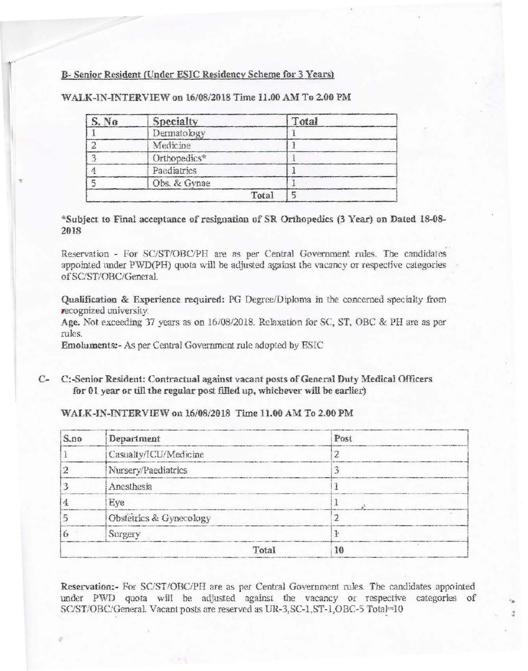## B- Senior Resident (Under ESIC Residency Scheme for 3 Years)

| S. No | Specialty    | Total |
|-------|--------------|-------|
|       | Dermatology  |       |
|       | Medicine     |       |
|       | Orthopedics* |       |
|       | Paediatrics  |       |
|       | Obs. & Gynae |       |
|       | Total        |       |

WALK-IN-INTERVIEW on 16/08/2018 Time 11.00 AM To 2.00 PM

\*Subject to Final acceptance of resignation of SR Orthopedics (3 Year) on Dated 18-08-2018

Reservation - For SC/ST/OBC/PH are as per Central Government rnles. The candidates appointed under PWD(PH) quota will be adjusted against the vacancy or respective categories of SC/ST/OBC/General.

Qualification & Experience required: PG Degree/Diploma jn the concerned specialty from **recognized university.** 

Age. Not exceeding 37 years as on 16/08/2018. Relaxation for SC, ST, OBC & PH are as per rules.

Emoluments:- As per Central Government rule adopted by ESIC

C- C:-Scnior Resident: Contractual against vacant posts of General Duty Medical Officers for  $01$  year or till the regular post filled up, whichever will be earlier)

## WALK-IN-INTERVIEW on 16/08/2018 Time 11.00 AM To 2.00 PM

| S.no | Department              | Post |
|------|-------------------------|------|
|      | Casualty/ICU/Medicine   |      |
|      | Nursery/Paediatrics     |      |
|      | Anesthesia              |      |
|      | Eye                     |      |
|      | Obstetrics & Gynecology |      |
|      | Surgery                 |      |
|      | Total                   |      |

Reservation:- For SC/ST/OBC/PH are as per Central Government rules. The candidates appointed under PWD quota will be adjusted against the vacancy or respective categories of SC/ST/OBC/General. Vacant posts are reserved as UR-3, SC-1, ST-1, OBC-5 Total=10

..

• "